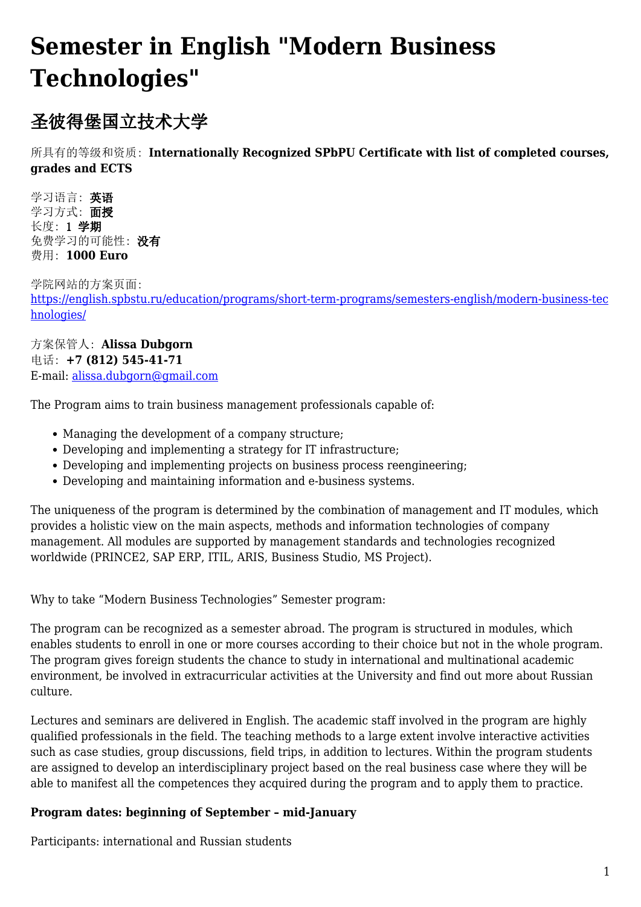## **Semester in English "Modern Business Technologies"**

## 圣彼得堡国立技术大学

所具有的等级和资质: **Internationally Recognized SPbPU Certificate with list of completed courses, grades and ECTS**

学习语言: 英语 学习方式: 面授 长度: 1 学期 免费学习的可能性: 没有 费用: **1000 Euro**

学院网站的方案页面: [https://english.spbstu.ru/education/programs/short-term-programs/semesters-english/modern-business-tec](https://english.spbstu.ru/education/programs/short-term-programs/semesters-english/modern-business-technologies/) [hnologies/](https://english.spbstu.ru/education/programs/short-term-programs/semesters-english/modern-business-technologies/)

方案保管人: **Alissa Dubgorn** 电话: **+7 (812) 545-41-71** E-mail: [alissa.dubgorn@gmail.com](mailto: alissa.dubgorn@gmail.com)

The Program aims to train business management professionals capable of:

- Managing the development of a company structure;
- Developing and implementing a strategy for IT infrastructure;
- Developing and implementing projects on business process reengineering;
- Developing and maintaining information and e-business systems.

The uniqueness of the program is determined by the combination of management and IT modules, which provides a holistic view on the main aspects, methods and information technologies of company management. All modules are supported by management standards and technologies recognized worldwide (PRINCE2, SAP ERP, ITIL, ARIS, Business Studio, MS Project).

Why to take "Modern Business Technologies" Semester program:

The program can be recognized as a semester abroad. The program is structured in modules, which enables students to enroll in one or more courses according to their choice but not in the whole program. The program gives foreign students the chance to study in international and multinational academic environment, be involved in extracurricular activities at the University and find out more about Russian culture.

Lectures and seminars are delivered in English. The academic staff involved in the program are highly qualified professionals in the field. The teaching methods to a large extent involve interactive activities such as case studies, group discussions, field trips, in addition to lectures. Within the program students are assigned to develop an interdisciplinary project based on the real business case where they will be able to manifest all the competences they acquired during the program and to apply them to practice.

## **Program dates: beginning of September – mid-January**

Participants: international and Russian students